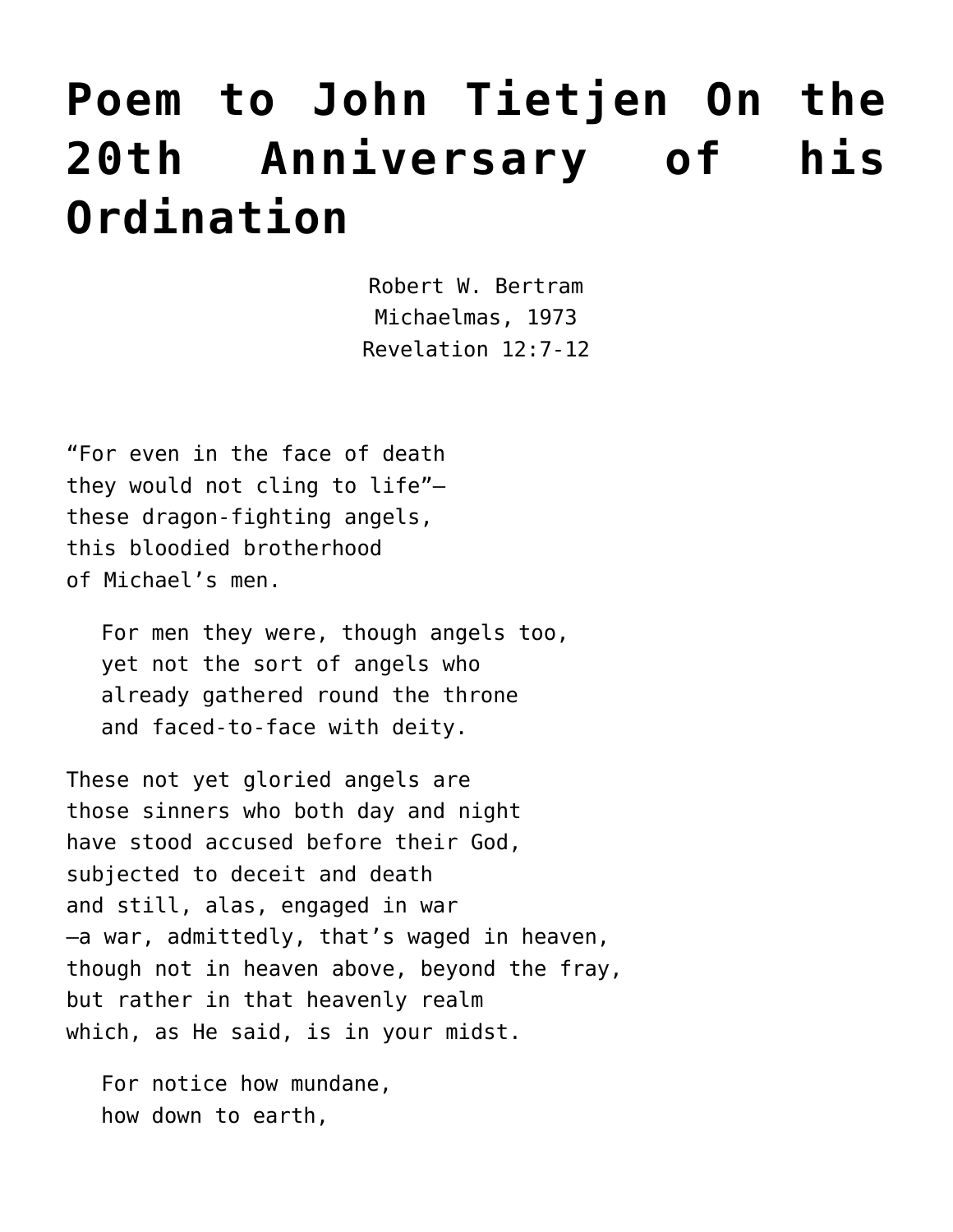## **[Poem to John Tietjen On the](https://crossings.org/poem-to-john-tietjen/) [20th Anniversary of his](https://crossings.org/poem-to-john-tietjen/) [Ordination](https://crossings.org/poem-to-john-tietjen/)**

Robert W. Bertram Michaelmas, 1973 Revelation 12:7-12

"For even in the face of death they would not cling to life" these dragon-fighting angels, this bloodied brotherhood of Michael's men.

For men they were, though angels too, yet not the sort of angels who already gathered round the throne and faced-to-face with deity.

These not yet gloried angels are those sinners who both day and night have stood accused before their God, subjected to deceit and death and still, alas, engaged in war –a war, admittedly, that's waged in heaven, though not in heaven above, beyond the fray, but rather in that heavenly realm which, as He said, is in your midst.

For notice how mundane, how down to earth,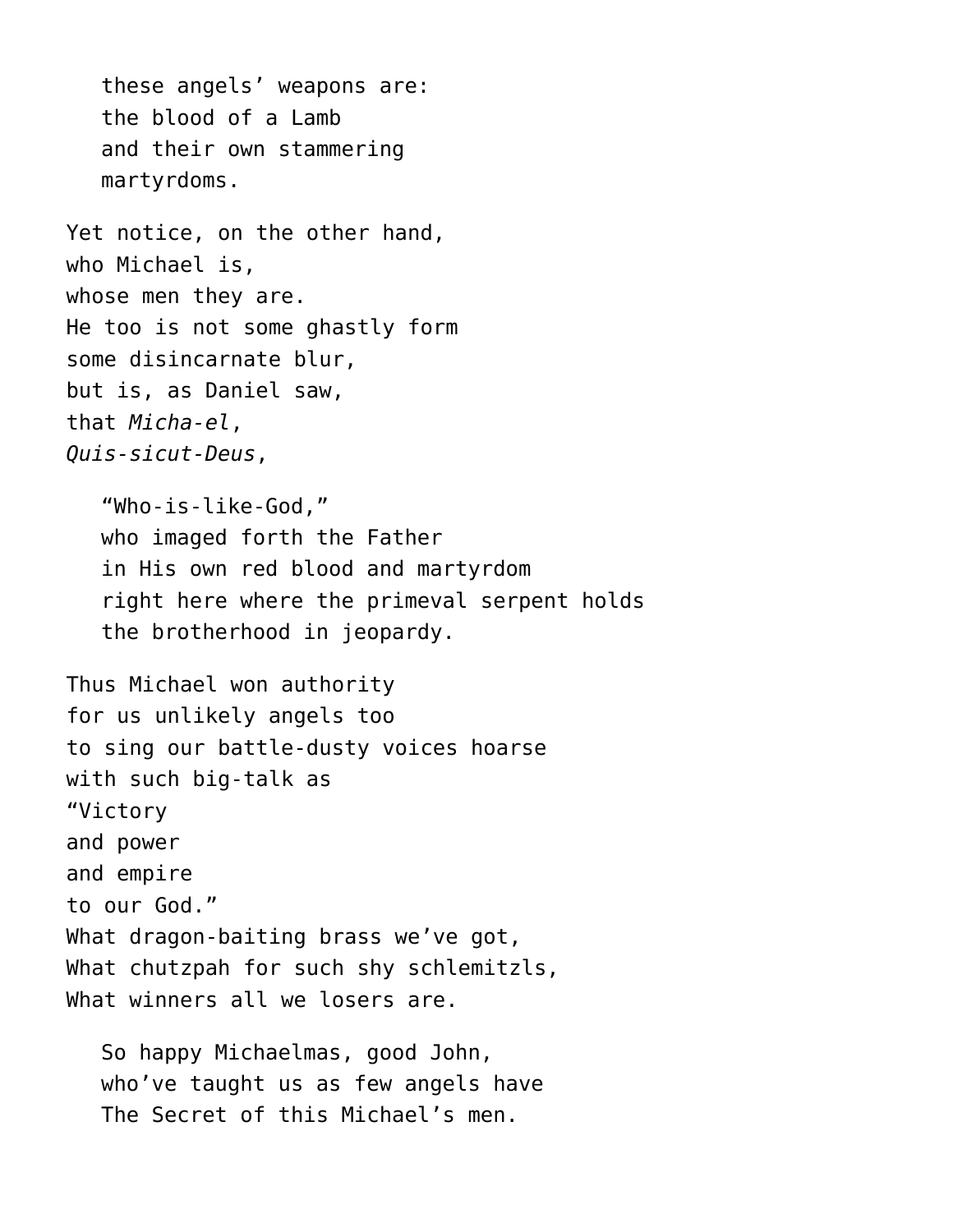these angels' weapons are: the blood of a Lamb and their own stammering martyrdoms.

Yet notice, on the other hand, who Michael is, whose men they are. He too is not some ghastly form some disincarnate blur, but is, as Daniel saw, that *Micha-el*, *Quis-sicut-Deus*,

"Who-is-like-God," who imaged forth the Father in His own red blood and martyrdom right here where the primeval serpent holds the brotherhood in jeopardy.

Thus Michael won authority for us unlikely angels too to sing our battle-dusty voices hoarse with such big-talk as "Victory and power and empire to our God." What dragon-baiting brass we've got, What chutzpah for such shy schlemitzls, What winners all we losers are.

So happy Michaelmas, good John, who've taught us as few angels have The Secret of this Michael's men.